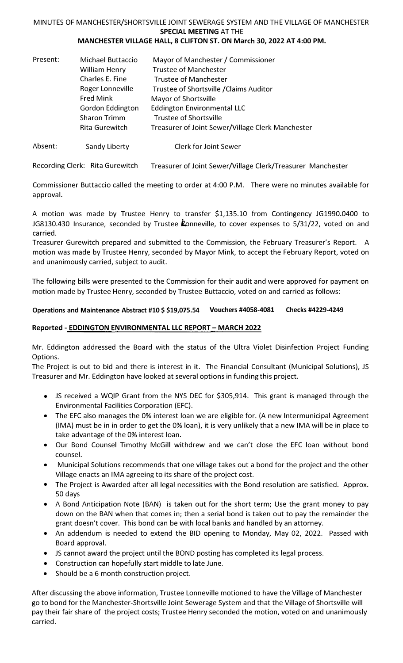# MINUTES OF MANCHESTER/SHORTSVILLE JOINT SEWERAGE SYSTEM AND THE VILLAGE OF MANCHESTER **SPECIAL MEETING** AT THE

## **MANCHESTER VILLAGE HALL, 8 CLIFTON ST. ON March 30, 2022 AT 4:00 PM.**

| Present: | <b>Michael Buttaccio</b> | Mayor of Manchester / Commissioner                |  |
|----------|--------------------------|---------------------------------------------------|--|
|          | <b>William Henry</b>     | <b>Trustee of Manchester</b>                      |  |
|          | Charles E. Fine          | <b>Trustee of Manchester</b>                      |  |
|          | Roger Lonneville         | Trustee of Shortsville / Claims Auditor           |  |
|          | <b>Fred Mink</b>         | Mayor of Shortsville                              |  |
|          | <b>Gordon Eddington</b>  | <b>Eddington Environmental LLC</b>                |  |
|          | <b>Sharon Trimm</b>      | <b>Trustee of Shortsville</b>                     |  |
|          | <b>Rita Gurewitch</b>    | Treasurer of Joint Sewer/Village Clerk Manchester |  |
|          |                          |                                                   |  |

#### Absent: Sandy Liberty Clerk for Joint Sewer

Recording Clerk: Rita Gurewitch Treasurer of Joint Sewer/Village Clerk/Treasurer Manchester

Commissioner Buttaccio called the meeting to order at 4:00 P.M. There were no minutes available for approval.

A motion was made by Trustee Henry to transfer \$1,135.10 from Contingency JG1990.0400 to JG8130.430 Insurance, seconded by Trustee  $k$ onneville, to cover expenses to 5/31/22, voted on and carried.

Treasurer Gurewitch prepared and submitted to the Commission, the February Treasurer's Report. A motion was made by Trustee Henry, seconded by Mayor Mink, to accept the February Report, voted on and unanimously carried, subject to audit.

The following bills were presented to the Commission for their audit and were approved for payment on motion made by Trustee Henry, seconded by Trustee Buttaccio, voted on and carried as follows:

**Operations and Maintenance Abstract #10 \$ \$19,075.54 Vouchers #4058-4081 Checks #4229-4249** 

### **Reported - EDDINGTON ENVIRONMENTAL LLC REPORT- MARCH 2022**

Mr. Eddington addressed the Board with the status of the Ultra Violet Disinfection Project Funding Options.

The Project is out to bid and there is interest in it. The Financial Consultant (Municipal Solutions), JS Treasurer and Mr. Eddington have looked at several options in funding this project.

- JS received a WQIP Grant from the NYS DEC for \$305,914. This grant is managed through the Environmental Facilities Corporation (EFC).
- The EFC also manages the 0% interest loan we are eligible for. (A new lntermunicipal Agreement (IMA) must be in in order to get the 0% loan), it is very unlikely that a new IMA will be in place to take advantage of the 0% interest loan.
- Our Bond Counsel Timothy McGill withdrew and we can't close the EFC loan without bond counsel.
- Municipal Solutions recommends that one village takes out a bond for the project and the other Village enacts an IMA agreeing to its share of the project cost.
- The Project is Awarded after all legal necessities with the Bond resolution are satisfied. Approx. 50 days
- A Bond Anticipation Note (BAN) is taken out for the short term; Use the grant money to pay down on the BAN when that comes in; then a serial bond is taken out to pay the remainder the grant doesn't cover. This bond can be with local banks and handled by an attorney.
- An addendum is needed to extend the BID opening to Monday, May 02, 2022. Passed with Board approval.
- JS cannot award the project until the BOND posting has completed its legal process.
- Construction can hopefully start middle to late June.
- Should be a 6 month construction project.

After discussing the above information, Trustee Lonneville motioned to have the Village of Manchester go to bond for the Manchester-Shortsville Joint Sewerage System and that the Village of Shortsville will pay their fair share of the project costs; Trustee Henry seconded the motion, voted on and unanimously carried.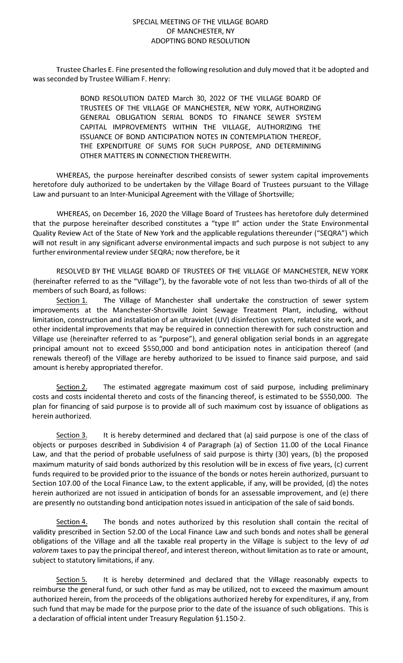#### SPECIAL MEETING OF THE VILLAGE BOARD OF MANCHESTER, NY ADOPTING BOND RESOLUTION

Trustee Charles E. Fine presented the following resolution and duly moved that it be adopted and was seconded by Trustee William F. Henry:

> BOND RESOLUTION DATED March 30, 2022 OF THE VILLAGE BOARD OF TRUSTEES OF THE VILLAGE OF MANCHESTER, NEW YORK, AUTHORIZING GENERAL OBLIGATION SERIAL BONDS TO FINANCE SEWER SYSTEM CAPITAL IMPROVEMENTS WITHIN THE VILLAGE, AUTHORIZING THE ISSUANCE OF BOND ANTICIPATION NOTES IN CONTEMPLATION THEREOF, THE EXPENDITURE OF SUMS FOR SUCH PURPOSE, AND DETERMINING OTHER MATTERS IN CONNECTION THEREWITH.

WHEREAS, the purpose hereinafter described consists of sewer system capital improvements heretofore duly authorized to be undertaken by the Village Board of Trustees pursuant to the Village Law and pursuant to an Inter-Municipal Agreement with the Village of Shortsville;

WHEREAS, on December 16, 2020 the Village Board of Trustees has heretofore duly determined that the purpose hereinafter described constitutes a "type II" action under the State Environmental Quality Review Act of the State of New York and the applicable regulations thereunder ("SEQRA") which will not result in any significant adverse environmental impacts and such purpose is not subject to any further environmental review under SEQRA; now therefore, be it

RESOLVED BY THE VILLAGE BOARD OF TRUSTEES OF THE VILLAGE OF MANCHESTER, NEW YORK (hereinafter referred to as the "Village"), by the favorable vote of not less than two-thirds of all of the members of such Board, as follows:

Section 1. The Village of Manchester shall undertake the construction of sewer system improvements at the Manchester-Shortsville Joint Sewage Treatment Plant, including, without limitation, construction and installation of an ultraviolet (UV) disinfection system, related site work, and other incidental improvements that may be required in connection therewith for such construction and Village use (hereinafter referred to as "purpose"), and general obligation serial bonds in an aggregate principal amount not to exceed \$550,000 and bond anticipation notes in anticipation thereof (and renewals thereof) of the Village are hereby authorized to be issued to finance said purpose, and said amount is hereby appropriated therefor.

Section 2. The estimated aggregate maximum cost of said purpose, including preliminary costs and costs incidental thereto and costs of the financing thereof, is estimated to be \$550,000. The plan for financing of said purpose is to provide all of such maximum cost by issuance of obligations as herein authorized.

Section 3. It is hereby determined and declared that (a) said purpose is one of the class of objects or purposes described in Subdivision 4 of Paragraph (a) of Section 11.00 of the Local Finance Law, and that the period of probable usefulness of said purpose is thirty (30) years, (b) the proposed maximum maturity of said bonds authorized by this resolution will be in excess of five years, (c) current funds required to be provided prior to the issuance of the bonds or notes herein authorized, pursuant to Section 107.00 of the Local Finance Law, to the extent applicable, if any, will be provided, (d) the notes herein authorized are not issued in anticipation of bonds for an assessable improvement, and (e) there are presently no outstanding bond anticipation notes issued in anticipation of the sale of said bonds.

Section 4. The bonds and notes authorized by this resolution shall contain the recital of validity prescribed in Section 52.00 of the Local Finance Law and such bonds and notes shall be general obligations of the Village and all the taxable real property in the Village is subject to the levy of *ad valorem* taxes to pay the principal thereof, and interest thereon, without limitation as to rate or amount, subject to statutory limitations, if any.

Section 5. It is hereby determined and declared that the Village reasonably expects to reimburse the general fund, or such other fund as may be utilized, not to exceed the maximum amount authorized herein, from the proceeds of the obligations authorized hereby for expenditures, if any, from such fund that may be made for the purpose prior to the date of the issuance of such obligations. This is a declaration of official intent under Treasury Regulation §1.150-2.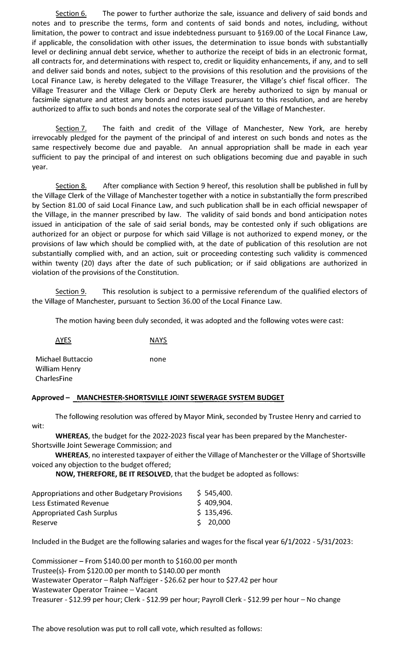Section 6. The power to further authorize the sale, issuance and delivery of said bonds and notes and to prescribe the terms, form and contents of said bonds and notes, including, without limitation, the power to contract and issue indebtedness pursuant to §169.00 of the Local Finance Law, if applicable, the consolidation with other issues, the determination to issue bonds with substantially level or declining annual debt service, whether to authorize the receipt of bids in an electronic format, all contracts for, and determinations with respect to, credit or liquidity enhancements, if any, and to sell and deliver said bonds and notes, subject to the provisions of this resolution and the provisions of the Local Finance Law, is hereby delegated to the Village Treasurer, the Village's chief fiscal officer. The Village Treasurer and the Village Clerk or Deputy Clerk are hereby authorized to sign by manual or facsimile signature and attest any bonds and notes issued pursuant to this resolution, and are hereby authorized to affix to such bonds and notes the corporate seal of the Village of Manchester.

Section 7. The faith and credit of the Village of Manchester, New York, are hereby irrevocably pledged for the payment of the principal of and interest on such bonds and notes as the same respectively become due and payable. An annual appropriation shall be made in each year sufficient to pay the principal of and interest on such obligations becoming due and payable in such year.

Section 8. After compliance with Section 9 hereof, this resolution shall be published in full by the Village Clerk of the Village of Manchester together with a notice in substantially the form prescribed by Section 81.00 of said Local Finance Law, and such publication shall be in each official newspaper of the Village, in the manner prescribed by law. The validity of said bonds and bond anticipation notes issued in anticipation of the sale of said serial bonds, may be contested only if such obligations are authorized for an object or purpose for which said Village is not authorized to expend money, or the provisions of law which should be complied with, at the date of publication of this resolution are not substantially complied with, and an action, suit or proceeding contesting such validity is commenced within twenty (20) days after the date of such publication; or if said obligations are authorized in violation of the provisions of the Constitution.

Section 9. This resolution is subject to a permissive referendum of the qualified electors of the Village of Manchester, pursuant to Section 36.00 of the Local Finance Law.

The motion having been duly seconded, it was adopted and the following votes were cast:

| AYES                               | <b>NAYS</b> |
|------------------------------------|-------------|
| Michael Buttaccio<br>William Henry | none        |
| CharlesFine                        |             |

#### **Approved - MANCHESTER-SHORTSVILLE JOINT SEWERAGE SYSTEM BUDGET**

The following resolution was offered by Mayor Mink, seconded by Trustee Henry and carried to wit:

**WHEREAS,** the budget for the 2022-2023 fiscal year has been prepared by the Manchester-Shortsville Joint Sewerage Commission; and

**WHEREAS,** no interested taxpayer of either the Village of Manchester or the Village of Shortsville voiced any objection to the budget offered;

**NOW, THEREFORE, BE IT RESOLVED,** that the budget be adopted as follows:

| Appropriations and other Budgetary Provisions | \$545,400. |
|-----------------------------------------------|------------|
| <b>Less Estimated Revenue</b>                 | \$409,904. |
| <b>Appropriated Cash Surplus</b>              | \$135,496. |
| Reserve                                       | \$20,000   |

Included in the Budget are the following salaries and wages for the fiscal year 6/1/2022 - 5/31/2023:

Commissioner - From \$140.00 per month to \$160.00 per month Trustee(s)- From \$120.00 per month to \$140.00 per month Wastewater Operator - Ralph Naffziger - \$26.62 per hour to \$27.42 per hour Wastewater Operator Trainee - Vacant Treasurer - \$12.99 per hour; Clerk - \$12.99 per hour; Payroll Clerk - \$12.99 per hour- No change

The above resolution was put to roll call vote, which resulted as follows: